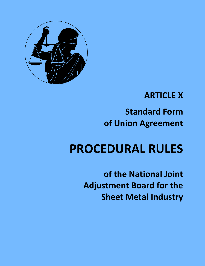

## **ARTICLE X**

## **Standard Form of Union Agreement**

# **PROCEDURAL RULES**

**of the National Joint Adjustment Board for the Sheet Metal Industry**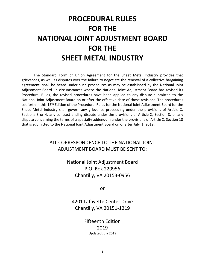## **PROCEDURAL RULES FOR THE NATIONAL JOINT ADJUSTMENT BOARD FOR THE SHEET METAL INDUSTRY**

 The Standard Form of Union Agreement for the Sheet Metal Industry provides that agreement, shall be heard under such procedures as may be established by the National Joint Adjustment Board. In circumstances where the National Joint Adjustment Board has revised its Procedural Rules, the revised procedures have been applied to any dispute submitted to the National Joint Adjustment Board on or after the effective date of those revisions. The procedures set forth in this 15<sup>th</sup> Edition of the Procedural Rules for the National Joint Adjustment Board for the Sheet Metal Industry shall govern any grievance proceeding under the provisions of Article X, Sections 3 or 4, any contract ending dispute under the provisions of Article X, Section 8, or any dispute concerning the terms of a specialty addendum under the provisions of Article X, Section 10 that is submitted to the National Joint Adjustment Board on or after July 1, 2019. grievances, as well as disputes over the failure to negotiate the renewal of a collective bargaining

> ALL CORRESPONDENCE TO THE NATIONAL JOINT ADJUSTMENT BOARD MUST BE SENT TO:

> > National Joint Adjustment Board P.O. Box 220956 Chantilly, VA 20153-0956

> > > or

4201 Lafayette Center Drive Chantilly, VA 20151-1219

> Fifteenth Edition 2019 (Updated July 2019)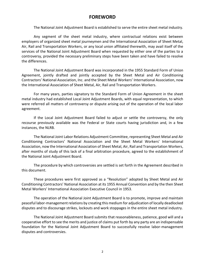## **FOREWORD**

The National Joint Adjustment Board is established to serve the entire sheet metal industry.

 Any segment of the sheet metal industry, where contractual relations exist between employers of organized sheet metal journeymen and the International Association of Sheet Metal, Air, Rail and Transportation Workers, or any local union affiliated therewith, may avail itself of the services of the National Joint Adjustment Board when requested by either one of the parties to a controversy, provided the necessary preliminary steps have been taken and have failed to resolve the differences.

 The National Joint Adjustment Board was incorporated in the 1955 Standard Form of Union Agreement, jointly drafted and jointly accepted by the Sheet Metal and Air Conditioning Contractors' National Association, Inc. and the Sheet Metal Workers' International Association, now the International Association of Sheet Metal, Air, Rail and Transportation Workers.

 For many years, parties signatory to the Standard Form of Union Agreement in the sheet metal industry had established Local Joint Adjustment Boards, with equal representation, to which were referred all matters of controversy or dispute arising out of the operation of the local labor agreement.

 If the Local Joint Adjustment Board failed to adjust or settle the controversy, the only recourse previously available was the Federal or State courts having jurisdiction and, in a few instances, the NLRB.

 The National Joint Labor Relations Adjustment Committee, representing Sheet Metal and Air Conditioning Contractors' National Association and the Sheet Metal Workers' International Association, now the International Association of Sheet Metal, Air, Rail and Transportation Workers, after months of study of this lack of a final arbitration procedure, agreed to the establishment of the National Joint Adjustment Board.

 The procedure by which controversies are settled is set forth in the Agreement described in this document.

 These procedures were first approved as a "Resolution" adopted by Sheet Metal and Air Conditioning Contractors' National Association at its 1955 Annual Convention and by the then Sheet Metal Workers' International Association Executive Council in 1953.

 The operation of the National Joint Adjustment Board is to promote, improve and maintain peaceful labor-management relations by creating this medium for adjudication of locally deadlocked disputes and to discourage strikes, lockouts and work stoppages in the entire sheet metal industry.

 The National Joint Adjustment Board submits that reasonableness, patience, good will and a cooperative effort to see the merits and justice of claims put forth by any party are an indispensable foundation for the National Joint Adjustment Board to successfully resolve labor-management disputes and controversies.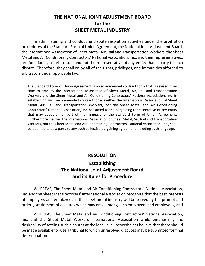## **THE NATIONAL JOINT ADJUSTMENT BOARD for the SHEET METAL INDUSTRY**

 In administering and conducting dispute resolution activities under the arbitration procedures of the Standard Form of Union Agreement, the National Joint Adjustment Board, the International Association of Sheet Metal, Air, Rail and Transportation Workers, the Sheet Metal and Air Conditioning Contractors' National Association, Inc., and their representatives, are functioning as arbitrators and not the representative of any entity that is party to such dispute. Therefore, they shall enjoy all of the rights, privileges, and immunities afforded to arbitrators under applicable law.

 The Standard Form of Union Agreement is a recommended contract form that is revised from time to time by the International Association of Sheet Metal, Air, Rail and Transportation Workers and the Sheet Metal and Air Conditioning Contractors' National Association, Inc. In establishing such recommended contract form, neither the International Association of Sheet Metal, Air, Rail and Transportation Workers, nor the Sheet Metal and Air Conditioning Contractors' National Association, Inc. has acted as the bargaining representative of any entity that may adopt all or part of the language of the Standard Form of Union Agreement. Furthermore, neither the International Association of Sheet Metal, Air, Rail and Transportation Workers, nor the Sheet Metal and Air Conditioning Contractors' National Association, Inc., shall be deemed to be a party to any such collective bargaining agreement including such language.

## **RESOLUTION**

## **Establishing The National Joint Adjustment Board and its Rules for Procedure**

 WHEREAS, The Sheet Metal and Air Conditioning Contractors' National Association, Inc. and the Sheet Metal Workers' International Association recognize that the best interests of employers and employees in the sheet metal industry will be served by the prompt and orderly settlement of disputes which may arise among such employers and employees, and

 WHEREAS, The Sheet Metal and Air Conditioning Contractors' National Association, Inc. and the Sheet Metal Workers' International Association while emphasizing the desirability of settling such disputes at the local level, nevertheless believe that there should be made available for use a tribunal to which unresolved disputes may be submitted for final determination: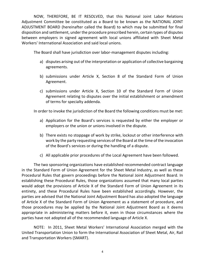NOW, THEREFORE, BE IT RESOLVED, that this National Joint Labor Relations Adjustment Committee be constituted as a Board to be known as the NATIONAL JOINT ADJUSTMENT BOARD (hereinafter called the Board) to which may be submitted for final disposition and settlement, under the procedure prescribed herein, certain types of disputes between employers in signed agreement with local unions affiliated with Sheet Metal Workers' International Association and said local unions.

The Board shall have jurisdiction over labor-management disputes including:

- a) disputes arising out of the interpretation or application of collective bargaining agreements.
- b) submissions under Article X, Section 8 of the Standard Form of Union Agreement.
- c) submissions under Article X, Section 10 of the Standard Form of Union Agreement relating to disputes over the initial establishment or amendment of terms for specialty addenda.

In order to invoke the jurisdiction of the Board the following conditions must be met:

- a) Application for the Board's services is requested by either the employer or employers or the union or unions involved in the dispute.
- b) There exists no stoppage of work by strike, lockout or other interference with work by the party requesting services of the Board at the time of the invocation of the Board's services or during the handling of a dispute.
- c) All applicable prior procedures of the Local Agreement have been followed.

 The two sponsoring organizations have established recommended contract language in the Standard Form of Union Agreement for the Sheet Metal Industry, as well as these Procedural Rules that govern proceedings before the National Joint Adjustment Board. In establishing these Procedural Rules, those organizations assumed that many local parties would adopt the provisions of Article X of the Standard Form of Union Agreement in its entirety, and these Procedural Rules have been established accordingly. However, the parties are advised that the National Joint Adjustment Board has also adopted the language of Article X of the Standard Form of Union Agreement as a statement of procedure, and those procedures may be applied by the National Joint Adjustment Board as it deems appropriate in administering matters before it, even in those circumstances where the parties have not adopted all of the recommended language of Article X.

 NOTE: In 2011, Sheet Metal Workers' International Association merged with the United Transportation Union to form the International Association of Sheet Metal, Air, Rail and Transportation Workers (SMART).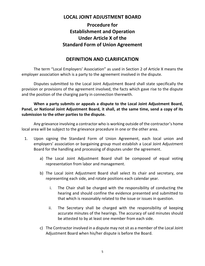## **LOCAL JOINT ADJUSTMENT BOARD**

## **Procedure for Establishment and Operation Under Article X of the Standard Form of Union Agreement**

## **DEFINITION AND CLARIFICATION**

 The term "Local Employers' Association" as used in Section 2 of Article X means the employer association which is a party to the agreement involved in the dispute.

 Disputes submitted to the Local Joint Adjustment Board shall state specifically the provision or provisions of the agreement involved, the facts which gave rise to the dispute and the position of the charging party in connection therewith.

#### **When a party submits or appeals a dispute to the Local Joint Adjustment Board, Panel, or National Joint Adjustment Board, it shall, at the same time, send a copy of its submission to the other parties to the dispute.**

 Any grievance involving a contractor who is working outside of the contractor's home local area will be subject to the grievance procedure in one or the other area.

- 1. Upon signing the Standard Form of Union Agreement, each local union and employers' association or bargaining group must establish a Local Joint Adjustment Board for the handling and processing of disputes under the agreement.
	- a) The Local Joint Adjustment Board shall be composed of equal voting representation from labor and management.
	- b) The Local Joint Adjustment Board shall select its chair and secretary, one representing each side, and rotate positions each calendar year.
		- i. The Chair shall be charged with the responsibility of conducting the hearing and should confine the evidence presented and submitted to that which is reasonably related to the issue or issues in question.
		- accurate minutes of the hearings. The accuracy of said minutes should be attested to by at least one member from each side. ii. The Secretary shall be charged with the responsibility of keeping
	- c) The Contractor involved in a dispute may not sit as a member of the Local Joint Adjustment Board when his/her dispute is before the Board.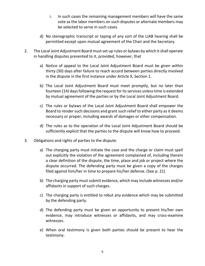- i. In such cases the remaining management members will have the same be selected to serve in such cases. vote as the labor members on such disputes or alternate members may
- permitted except upon mutual agreement of the Chair and the Secretary. d) No stenographic transcript or taping of any sort of the LJAB hearing shall be
- 2. The Local Joint Adjustment Board must set up rules or bylaws by which it shall operate in handling disputes presented to it, provided, however, that
	- a) Notice of appeal to the Local Joint Adjustment Board must be given within thirty (30) days after failure to reach accord between parties directly involved in the dispute in the first instance under Article X, Section 1.
	- b) The Local Joint Adjustment Board must meet promptly, but no later than fourteen (14) days following the request for its services unless time is extended by mutual agreement of the parties or by the Local Joint Adjustment Board.
	- c) The rules or bylaws of the Local Joint Adjustment Board shall empower the Board to render such decisions and grant such relief to either party as it deems necessary or proper, including awards of damages or other compensation.
	- d) The rules as to the operation of the Local Joint Adjustment Board should be sufficiently explicit that the parties to the dispute will know how to proceed.
- 3. Obligations and rights of parties to the dispute:
	- a) The charging party must initiate the case and the charge or claim must spell out explicitly the violation of the agreement complained of, including therein a clear definition of the dispute, the time, place and job or project where the dispute occurred. The defending party must be given a copy of the charges filed against him/her in time to prepare his/her defense. (See p. 21)
	- b) The charging party must submit evidence, which may include witnesses and/or affidavits in support of such charges.
	- c) The charging party is entitled to rebut any evidence which may be submitted by the defending party.
	- d) The defending party must be given an opportunity to present his/her own evidence, may introduce witnesses or affidavits, and may cross-examine witnesses.
	- e) When oral testimony is given both parties should be present to hear the testimony.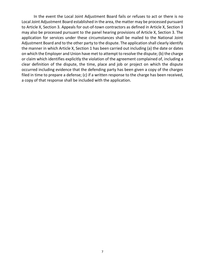In the event the Local Joint Adjustment Board fails or refuses to act or there is no Local Joint Adjustment Board established in the area, the matter may be processed pursuant to Article X, Section 3. Appeals for out-of-town contractors as defined in Article X, Section 3 may also be processed pursuant to the panel hearing provisions of Article X, Section 3. The application for services under these circumstances shall be mailed to the National Joint Adjustment Board and to the other party to the dispute. The application shall clearly identify the manner in which Article X, Section 1 has been carried out including (a) the date or dates on which the Employer and Union have met to attempt to resolve the dispute; (b) the charge or claim which identifies explicitly the violation of the agreement complained of, including a clear definition of the dispute, the time, place and job or project on which the dispute occurred including evidence that the defending party has been given a copy of the charges filed in time to prepare a defense; (c) if a written response to the charge has been received, a copy of that response shall be included with the application.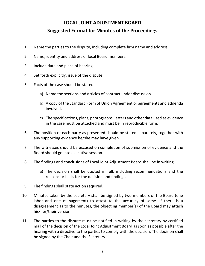## **LOCAL JOINT ADJUSTMENT BOARD Suggested Format for Minutes of the Proceedings**

- 1. Name the parties to the dispute, including complete firm name and address.
- 2. Name, identity and address of local Board members.
- 3. Include date and place of hearing.
- 4. Set forth explicitly, issue of the dispute.
- 5. Facts of the case should be stated.
	- a) Name the sections and articles of contract under discussion.
	- b) A copy of the Standard Form of Union Agreement or agreements and addenda involved.
	- in the case must be attached and must be in reproducible form. c) The specifications, plans, photographs, letters and other data used as evidence
- 6. The position of each party as presented should be stated separately, together with any supporting evidence he/she may have given.
- 7. The witnesses should be excused on completion of submission of evidence and the Board should go into executive session.
- 8. The findings and conclusions of Local Joint Adjustment Board shall be in writing.
	- a) The decision shall be quoted in full, including recommendations and the reasons or basis for the decision and findings.
- 9. The findings shall state action required.
- 10. Minutes taken by the secretary shall be signed by two members of the Board (one labor and one management) to attest to the accuracy of same. If there is a disagreement as to the minutes, the objecting member(s) of the Board may attach his/her/their version.
- 11. The parties to the dispute must be notified in writing by the secretary by certified mail of the decision of the Local Joint Adjustment Board as soon as possible after the hearing with a directive to the parties to comply with the decision. The decision shall be signed by the Chair and the Secretary.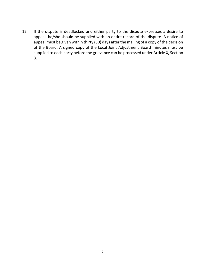12. If the dispute is deadlocked and either party to the dispute expresses a desire to appeal, he/she should be supplied with an entire record of the dispute. A notice of appeal must be given within thirty (30) days after the mailing of a copy of the decision of the Board. A signed copy of the Local Joint Adjustment Board minutes must be supplied to each party before the grievance can be processed under Article X, Section 3.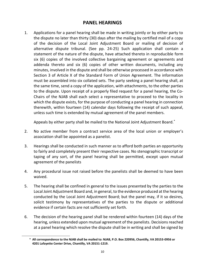## **PANEL HEARINGS**

 1. Applications for a panel hearing shall be made in writing jointly or by either party to the dispute no later than thirty (30) days after the mailing by certified mail of a copy of the decision of the Local Joint Adjustment Board or mailing of decision of six (6) copies of the involved collective bargaining agreement or agreements and minutes, involved in the dispute and shall be otherwise processed in accordance with Section 3 of Article X of the Standard Form of Union Agreement. The information must be assembled into six collated sets. The party seeking a panel hearing shall, at the same time, send a copy of the application, with attachments, to the other parties to the dispute. Upon receipt of a properly filed request for a panel hearing, the Co- Chairs of the NJAB shall each select a representative to proceed to the locality in which the dispute exists, for the purpose of conducting a panel hearing in connection therewith, within fourteen (14) calendar days following the receipt of such appeal, unless such time is extended by mutual agreement of the panel members. alternative dispute tribunal. (See pp. 24-25) Such application shall contain a statement of the nature of the dispute, have attached thereto in reproducible form addenda thereto and six (6) copies of other written documents, including any

Appeals by either party shall be mailed to the National Joint Adjustment Board. $^*$ 

- 2. No active member from a contract service area of the local union or employer's association shall be appointed as a panelist.
- 3. Hearings shall be conducted in such manner as to afford both parties an opportunity to fairly and completely present their respective cases. No stenographic transcript or taping of any sort, of the panel hearing shall be permitted, except upon mutual agreement of the panelists
- 4. Any procedural issue not raised before the panelists shall be deemed to have been waived.
- 5. The hearing shall be confined in general to the issues presented by the parties to the Local Joint Adjustment Board and, in general, to the evidence produced at the hearing conducted by the Local Joint Adjustment Board; but the panel may, if it so desires, solicit testimony by representatives of the parties to the dispute or additional evidence if certain facts are not sufficiently set forth.
- 6. The decision of the hearing panel shall be rendered within fourteen (14) days of the hearing, unless extended upon mutual agreement of the panelists. Decisions reached at a panel hearing which resolve the dispute shall be in writing and shall be signed by

 $\overline{a}$ 

<sup>\*</sup> **All correspondence to the NJAB shall be mailed to: NJAB, P.O. Box 220956, Chantilly, VA 20153-0956 or 4201 Lafayette Center Drive, Chantilly, VA 20151-1219.**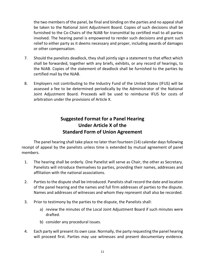the two members of the panel, be final and binding on the parties and no appeal shall be taken to the National Joint Adjustment Board. Copies of such decisions shall be furnished to the Co-Chairs of the NJAB for transmittal by certified mail to all parties relief to either party as it deems necessary and proper, including awards of damages involved. The hearing panel is empowered to render such decisions and grant such or other compensation.

- 7. Should the panelists deadlock, they shall jointly sign a statement to that effect which shall be forwarded, together with any briefs, exhibits, or any record of hearings, to the NJAB. Copies of the statement of deadlock shall be furnished to the parties by certified mail by the NJAB.
- 8. Employers not contributing to the Industry Fund of the United States (IFUS) will be assessed a fee to be determined periodically by the Administrator of the National Joint Adjustment Board. Proceeds will be used to reimburse IFUS for costs of arbitration under the provisions of Article X.

## **Suggested Format for a Panel Hearing Under Article X of the Standard Form of Union Agreement**

 The panel hearing shall take place no later than fourteen (14) calendar days following receipt of appeal by the panelists unless time is extended by mutual agreement of panel members.

- 1. The hearing shall be orderly. One Panelist will serve as Chair, the other as Secretary. Panelists will introduce themselves to parties, providing their names, addresses and affiliation with the national associations.
- 2. Parties to the dispute shall be introduced. Panelists shall record the date and location of the panel hearing and the names and full firm addresses of parties to the dispute. Names and addresses of witnesses and whom they represent shall also be recorded.
- 3. Prior to testimony by the parties to the dispute, the Panelists shall:
	- a) review the minutes of the Local Joint Adjustment Board if such minutes were drafted.
	- b) consider any procedural issues.
- 4. Each party will present its own case. Normally, the party requesting the panel hearing will proceed first. Parties may use witnesses and present documentary evidence.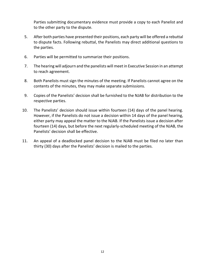Parties submitting documentary evidence must provide a copy to each Panelist and to the other party to the dispute.

- 5. After both parties have presented their positions, each party will be offered a rebuttal to dispute facts. Following rebuttal, the Panelists may direct additional questions to the parties.
- 6. Parties will be permitted to summarize their positions.
- 7. The hearing will adjourn and the panelists will meet in Executive Session in an attempt to reach agreement.
- 8. Both Panelists must sign the minutes of the meeting. If Panelists cannot agree on the contents of the minutes, they may make separate submissions.
- 9. Copies of the Panelists' decision shall be furnished to the NJAB for distribution to the respective parties.
- 10. The Panelists' decision should issue within fourteen (14) days of the panel hearing. However, if the Panelists do not issue a decision within 14 days of the panel hearing, either party may appeal the matter to the NJAB. If the Panelists issue a decision after fourteen (14) days, but before the next regularly-scheduled meeting of the NJAB, the Panelists' decision shall be effective.
- 11. An appeal of a deadlocked panel decision to the NJAB must be filed no later than thirty (30) days after the Panelists' decision is mailed to the parties.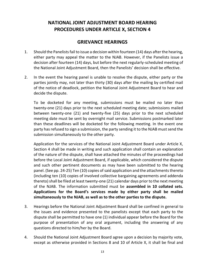## **NATIONAL JOINT ADJUSTMENT BOARD HEARING PROCEDURES UNDER ARTICLE X, SECTION 4**

## **GRIEVANCE HEARINGS**

- 1. Should the Panelists fail to issue a decision within fourteen (14) days after the hearing, either party may appeal the matter to the NJAB. However, if the Panelists issue a decision after fourteen (14) days, but before the next regularly-scheduled meeting of the National Joint Adjustment Board, then the Panelists' decision shall be effective.
- 2. In the event the hearing panel is unable to resolve the dispute, either party or the parties jointly may, not later than thirty (30) days after the mailing by certified mail of the notice of deadlock, petition the National Joint Adjustment Board to hear and decide the dispute.

 To be docketed for any meeting, submissions must be mailed no later than twenty-one (21) days prior to the next scheduled meeting date; submissions mailed between twenty-one (21) and twenty-five (25) days prior to the next scheduled meeting date must be sent by overnight mail service. Submissions postmarked later than these deadlines will be docketed for the following meeting. In the event one party has refused to sign a submission, the party sending it to the NJAB must send the submission simultaneously to the other party.

 Application for the services of the National Joint Adjustment Board under Article X, Section 4 shall be made in writing and such application shall contain an explanation of the nature of the dispute, shall have attached the minutes of the proceedings had before the Local Joint Adjustment Board, if applicable, which considered the dispute and such other pertinent documents as may have been submitted to the hearing panel. (See pp. 24-25) Ten (10) copies of said application and the attachments thereto (including ten (10) copies of involved collective bargaining agreements and addenda thereto) shall be filed at least twenty-one (21) calendar days prior to the next meeting of the NJAB. The information submitted must be **assembled in 10 collated sets. Applications for the Board's services made by either party shall be mailed simultaneously to the NJAB, as well as to the other parties to the dispute.** 

- the issues and evidence presented to the panelists except that each party to the dispute shall be permitted to have one (1) individual appear before the Board for the purpose of presentation of any oral argument, including the answering of any questions directed to him/her by the Board. 3. Hearings before the National Joint Adjustment Board shall be confined in general to
- 4. Should the National Joint Adjustment Board agree upon a decision by majority vote, except as otherwise provided in Sections 8 and 10 of Article X, it shall be final and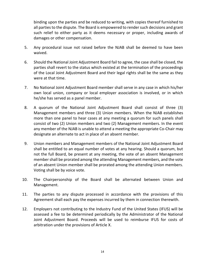binding upon the parties and be reduced to writing, with copies thereof furnished to all parties to the dispute. The Board is empowered to render such decisions and grant such relief to either party as it deems necessary or proper, including awards of damages or other compensation.

- 5. Any procedural issue not raised before the NJAB shall be deemed to have been waived.
- 6. Should the National Joint Adjustment Board fail to agree, the case shall be closed, the parties shall revert to the status which existed at the termination of the proceedings of the Local Joint Adjustment Board and their legal rights shall be the same as they were at that time.
- 7. No National Joint Adjustment Board member shall serve in any case in which his/her own local union, company or local employer association is involved, or in which he/she has served as a panel member.
- 8. A quorum of the National Joint Adjustment Board shall consist of three (3) Management members and three (3) Union members. When the NJAB establishes more than one panel to hear cases at any meeting a quorum for such panels shall consist of two (2) Union members and two (2) Management members. In the event any member of the NJAB is unable to attend a meeting the appropriate Co-Chair may designate an alternate to act in place of an absent member.
- 9. Union members and Management members of the National Joint Adjustment Board shall be entitled to an equal number of votes at any hearing. Should a quorum, but not the full Board, be present at any meeting, the vote of an absent Management member shall be prorated among the attending Management members, and the vote of an absent Union member shall be prorated among the attending Union members. Voting shall be by voice vote.
- 10. The Chairpersonship of the Board shall be alternated between Union and Management.
- 11. The parties to any dispute processed in accordance with the provisions of this Agreement shall each pay the expenses incurred by them in connection therewith.
- 12. Employers not contributing to the Industry Fund of the United States (IFUS) will be assessed a fee to be determined periodically by the Administrator of the National Joint Adjustment Board. Proceeds will be used to reimburse IFUS for costs of arbitration under the provisions of Article X.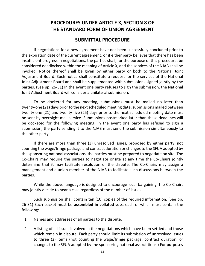## **PROCEDURES UNDER ARTICLE X, SECTION 8 OF THE STANDARD FORM OF UNION AGREEMENT**

### **SUBMITTAL PROCEDURE**

 If negotiations for a new agreement have not been successfully concluded prior to the expiration date of the current agreement, or if either party believes that there has been insufficient progress in negotiations, the parties shall, for the purpose of this procedure, be considered deadlocked within the meaning of Article X, and the services of the NJAB shall be invoked. Notice thereof shall be given by either party or both to the National Joint Adjustment Board. Such notice shall constitute a request for the services of the National Joint Adjustment Board and shall be supplemented with submissions signed jointly by the parties. (See pp. 26-31) In the event one party refuses to sign the submission, the National Joint Adjustment Board will consider a unilateral submission.

 To be docketed for any meeting, submissions must be mailed no later than twenty-one (21) days prior to the next scheduled meeting date; submissions mailed between twenty-one (21) and twenty-five (25) days prior to the next scheduled meeting date must be sent by overnight mail service. Submissions postmarked later than these deadlines will be docketed for the following meeting. In the event one party has refused to sign a submission, the party sending it to the NJAB must send the submission simultaneously to the other party.

 counting the wage/fringe package and contract duration or changes to the SFUA adopted by the sponsoring national associations, the parties must be prepared to negotiate on site. The determine that it may facilitate resolution of the dispute. The Co-Chairs may assign a management and a union member of the NJAB to facilitate such discussions between the If there are more than three (3) unresolved issues, proposed by either party, not Co-Chairs may require the parties to negotiate onsite at any time the Co-Chairs jointly parties.

 While the above language is designed to encourage local bargaining, the Co-Chairs may jointly decide to hear a case regardless of the number of issues.

 Such submission shall contain ten (10) copies of the required information. (See pp.  26-31) Each packet must be **assembled in collated sets**, each of which must contain the following:

- 1. Names and addresses of all parties to the dispute.
- 2. A listing of all issues involved in the negotiations which have been settled and those which remain in dispute. Each party should limit its submission of unresolved issues to three (3) items (not counting the wage/fringe package, contract duration, or changes to the SFUA adopted by the sponsoring national associations.) For purposes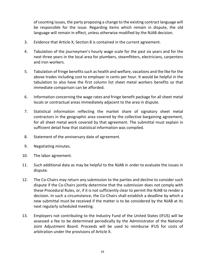of counting issues, the party proposing a change to the existing contract language will be responsible for the issue. Regarding items which remain in dispute, the old language will remain in effect, unless otherwise modified by the NJAB decision.

- 3. Evidence that Article X, Section 8 is contained in the current agreement.
- 4. Tabulation of the journeymen's hourly wage scale for the past six years and for the next three years in the local area for plumbers, steamfitters, electricians, carpenters and iron workers.
- 5. Tabulation of fringe benefits such as health and welfare, vacations and the like for the above trades including cost to employer in cents per hour. It would be helpful in the tabulation to also have the first column list sheet metal workers benefits so that immediate comparison can be afforded.
- 6. Information concerning the wage rates and fringe benefit package for all sheet metal locals or contractual areas immediately adjacent to the area in dispute.
- 7. Statistical information reflecting the market share of signatory sheet metal contractors in the geographic area covered by the collective bargaining agreement, for all sheet metal work covered by that agreement. The submittal must explain in sufficient detail how that statistical information was compiled.
- 8. Statement of the anniversary date of agreement.
- 9. Negotiating minutes.
- 10. The labor agreement.
- 11. Such additional data as may be helpful to the NJAB in order to evaluate the issues in dispute.
- 12. The Co-Chairs may return any submission to the parties and decline to consider such dispute if the Co-Chairs jointly determine that the submission does not comply with decision. In such a circumstance, the Co-Chairs shall establish a deadline by which a new submittal must be received if the matter is to be considered by the NJAB at its these Procedural Rules, or, if it is not sufficiently clear to permit the NJAB to render a next regularly scheduled meeting.
- 13. Employers not contributing to the Industry Fund of the United States (IFUS) will be assessed a fee to be determined periodically by the Administrator of the National Joint Adjustment Board. Proceeds will be used to reimburse IFUS for costs of arbitration under the provisions of Article X.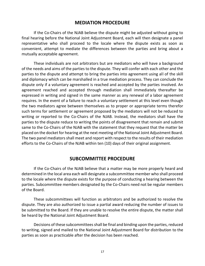### **MEDIATION PROCEDURE**

 If the Co-Chairs of the NJAB believe the dispute might be adjusted without going to representative who shall proceed to the locale where the dispute exists as soon as convenient, attempt to mediate the differences between the parties and bring about a final hearing before the National Joint Adjustment Board, each will then designate a panel mutually acceptable agreement.

 These individuals are not arbitrators but are mediators who will have a background of the needs and aims of the parties to the dispute. They will confer with each other and the parties to the dispute and attempt to bring the parties into agreement using all of the skill and diplomacy which can be marshalled in a true mediation process. They can conclude the dispute only if a voluntary agreement is reached and accepted by the parties involved. An agreement reached and accepted through mediation shall immediately thereafter be expressed in writing and signed in the same manner as any renewal of a labor agreement requires. In the event of a failure to reach a voluntary settlement at this level even though the two mediators agree between themselves as to proper or appropriate terms therefor such terms for settlement or agreement proposed by the mediators will not be reduced to writing or reported to the Co-Chairs of the NJAB. Instead, the mediators shall have the parties to the dispute reduce to writing the points of disagreement that remain and submit same to the Co-Chairs of the NJAB with the statement that they request that the matter be placed on the docket for hearing at the next meeting of the National Joint Adjustment Board. The two panel mediators shall meet and report with respect to the results of their mediation efforts to the Co-Chairs of the NJAB within ten (10) days of their original assignment.

#### **SUBCOMMITTEE PROCEDURE**

 If the Co-Chairs of the NJAB believe that a matter may be more properly heard and determined in the local area each will designate a subcommittee member who shall proceed to the locale where the dispute exists for the purpose of conducting a hearing between the parties. Subcommittee members designated by the Co-Chairs need not be regular members of the Board.

 These subcommittees will function as arbitrators and be authorized to resolve the dispute. They are also authorized to issue a partial award reducing the number of issues to be submitted to the Board. If they are unable to resolve the entire dispute, the matter shall be heard by the National Joint Adjustment Board.

 Decisions of these subcommittees shall be final and binding upon the parties, reduced to writing, signed and mailed to the National Joint Adjustment Board for distribution to the parties as soon as practicable after the decision has been reached.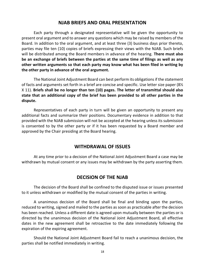#### **NJAB BRIEFS AND ORAL PRESENTATION**

 Each party through a designated representative will be given the opportunity to present oral argument and to answer any questions which may be raised by members of the Board. In addition to the oral argument, and at least three (3) business days prior thereto, parties may file ten (10) copies of briefs expressing their views with the NJAB. Such briefs will be distributed among the Board members in advance of the hearing. **There must also be an exchange of briefs between the parties at the same time of filings as well as any other written arguments so that each party may know what has been filed in writing by the other party in advance of the oral argument.** 

 The National Joint Adjustment Board can best perform its obligations if the statement of facts and arguments set forth in a brief are concise and specific. Use letter size paper (8½  X 11). **Briefs shall be no longer than ten (10) pages. The letter of transmittal should also state that an additional copy of the brief has been provided to all other parties in the dispute.** 

 Representatives of each party in turn will be given an opportunity to present any additional facts and summarize their positions. Documentary evidence in addition to that provided with the NJAB submission will not be accepted at the hearing unless its submission is consented to by the other party or if it has been requested by a Board member and approved by the Chair presiding at the Board hearing.

#### **WITHDRAWAL OF ISSUES**

 At any time prior to a decision of the National Joint Adjustment Board a case may be withdrawn by mutual consent or any issues may be withdrawn by the party asserting them.

#### **DECISION OF THE NJAB**

 The decision of the Board shall be confined to the disputed issue or issues presented to it unless withdrawn or modified by the mutual consent of the parties in writing.

 A unanimous decision of the Board shall be final and binding upon the parties, reduced to writing, signed and mailed to the parties as soon as practicable after the decision has been reached. Unless a different date is agreed upon mutually between the parties or is directed by the unanimous decision of the National Joint Adjustment Board, all effective dates in the new agreement shall be retroactive to the date immediately following the expiration of the expiring agreement.

 Should the National Joint Adjustment Board fail to reach a unanimous decision, the parties shall be notified immediately in writing.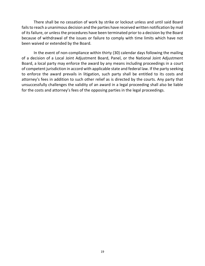There shall be no cessation of work by strike or lockout unless and until said Board fails to reach a unanimous decision and the parties have received written notification by mail of its failure, or unless the procedures have been terminated prior to a decision by the Board because of withdrawal of the issues or failure to comply with time limits which have not been waived or extended by the Board.

 In the event of non-compliance within thirty (30) calendar days following the mailing of a decision of a Local Joint Adjustment Board, Panel, or the National Joint Adjustment Board, a local party may enforce the award by any means including proceedings in a court of competent jurisdiction in accord with applicable state and federal law. If the party seeking to enforce the award prevails in litigation, such party shall be entitled to its costs and attorney's fees in addition to such other relief as is directed by the courts. Any party that unsuccessfully challenges the validity of an award in a legal proceeding shall also be liable for the costs and attorney's fees of the opposing parties in the legal proceedings.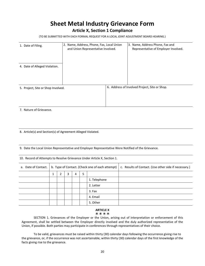## **Sheet Metal Industry Grievance Form**

#### **Article X, Section 1 Compliance**

(TO BE SUBMITTED WITH EACH FORMAL REQUEST FOR A LOCAL JOINT ADJUSTMENT BOARD HEARING.)

| 1. Date of Filing.                 | 2. Name, Address, Phone, Fax, Local Union<br>and Union Representative Involved. | 3. Name, Address Phone, Fax and<br>Representative of Employer Involved. |
|------------------------------------|---------------------------------------------------------------------------------|-------------------------------------------------------------------------|
| 4. Date of Alleged Violation.      |                                                                                 |                                                                         |
| 5. Project, Site or Shop Involved. |                                                                                 | 6. Address of Involved Project, Site or Shop.                           |

7. Nature of Grievance.

8. Article(s) and Section(s) of Agreement Alleged Violated.

9. Date the Local Union Representative and Employer Representative Were Notified of the Grievance.

10. Record of Attempts to Resolve Grievance Under Article X, Section 1.

| a. Date of Contact. |             |  |  |  | b. Type of Contact. (Check one of each attempt) | c. Results of Contact. (Use other side if necessary.) |
|---------------------|-------------|--|--|--|-------------------------------------------------|-------------------------------------------------------|
|                     | 5<br>4<br>3 |  |  |  |                                                 |                                                       |
|                     |             |  |  |  | 1. Telephone                                    |                                                       |
|                     |             |  |  |  | 2. Letter                                       |                                                       |
|                     |             |  |  |  | 3. Fax                                          |                                                       |
|                     |             |  |  |  | 4. Email                                        |                                                       |
|                     |             |  |  |  | 5. Other                                        |                                                       |

#### \*\*\*\* **ARTICLE X**

 SECTION 1. Grievances of the Employer or the Union, arising out of interpretation or enforcement of this Agreement, shall be settled between the Employer directly involved and the duly authorized representative of the Union, if possible. Both parties may participate in conferences through representatives of their choice.

 To be valid, grievances must be raised within thirty (30) calendar days following the occurrence giving rise to the grievance, or, if the occurrence was not ascertainable, within thirty (30) calendar days of the first knowledge of the facts giving rise to the grievance.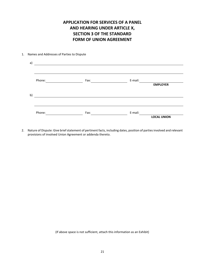## **APPLICATION FOR SERVICES OF A PANEL AND HEARING UNDER ARTICLE X, SECTION 3 OF THE STANDARD FORM OF UNION AGREEMENT**

#### 1. Names and Addresses of Parties to Dispute

| Phone: | Fax: | E-mail: | <b>EMPLOYER</b>    |
|--------|------|---------|--------------------|
|        |      |         |                    |
| Phone: | Fax: | E-mail: |                    |
|        |      |         | <b>LOCAL UNION</b> |

 2. Nature of Dispute: Give brief statement of pertinent facts, including dates, position of parties involved and relevant provisions of involved Union Agreement or addenda thereto.

(If above space is not sufficient, attach this information as an Exhibit)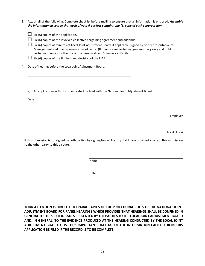3. Attach all of the following. Complete checklist before mailing to ensure that all information is enclosed. *Assemble the information in sets so that each of your 6 packets contains one (1) copy of each separate item.* 

| $\Box$ Six (6) copies of the application. |  |
|-------------------------------------------|--|
|-------------------------------------------|--|

 $\Box$  Six (6) copies of the involved collective bargaining agreement and addenda.

- $\Box$  Six (6) copies of minutes of Local Joint Adjustment Board, if applicable, signed by one representative of Management and one representative of Labor. (If minutes are verbatim, give summary only and hold verbatim minutes for the use of the panel – attach Summary as Exhibit.)
- $\Box$  Six (6) copies of the findings and decision of the LJAB.
- 4. Date of hearing before the Local Joint Adjustment Board.
	- a) All applications with documents shall be filed with the National Joint Adjustment Board.

Date:

Employer

Local Union

 If this submission is not signed by both parties, by signing below, I certify that I have provided a copy of this submission to the other party to this dispute.

Name

Date

 **YOUR ATTENTION IS DIRECTED TO PARAGRAPH 5 OF THE PROCEDURAL RULES OF THE NATIONAL JOINT ADJUSTMENT BOARD FOR PANEL HEARINGS WHICH PROVIDES THAT HEARINGS SHALL BE CONFINED IN GENERAL TO THE SPECIFIC ISSUES PRESENTED BY THE PARTIES TO THE LOCAL JOINT ADJUSTMENT BOARD ADJUSTMENT BOARD. IT IS THUS IMPORTANT THAT** *ALL* **OF THE INFORMATION CALLED FOR IN THIS AND, IN GENERAL, TO THE EVIDENCE PRODUCED AT THE HEARING CONDUCTED BY THE LOCAL JOINT APPLICATION BE FILED IF THE RECORD IS TO BE COMPLETE.**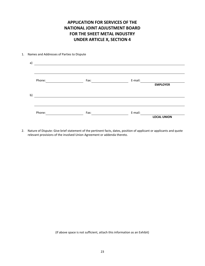## **APPLICATION FOR SERVICES OF THE NATIONAL JOINT ADJUSTMENT BOARD FOR THE SHEET METAL INDUSTRY UNDER ARTICLE X, SECTION 4**

#### 1. Names and Addresses of Parties to Dispute

| Phone: | Fax: | E-mail:            |  |
|--------|------|--------------------|--|
|        |      | <b>EMPLOYER</b>    |  |
|        |      |                    |  |
|        |      |                    |  |
|        |      |                    |  |
| Phone: | Fax: | E-mail:            |  |
|        |      | <b>LOCAL UNION</b> |  |

2. Nature of Dispute: Give brief statement of the pertinent facts, dates, position of applicant or applicants and quote relevant provisions of the involved Union Agreement or addenda thereto.

(If above space is not sufficient, attach this information as an Exhibit)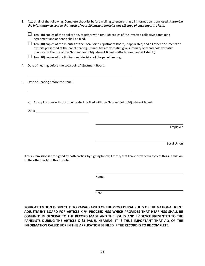| 3. | Attach all of the following. Complete checklist before mailing to ensure that all information is enclosed. Assemble<br>the information in sets so that each of your 10 packets contains one (1) copy of each separate item.                                                                                                                                                                                                                                                                                                                  |
|----|----------------------------------------------------------------------------------------------------------------------------------------------------------------------------------------------------------------------------------------------------------------------------------------------------------------------------------------------------------------------------------------------------------------------------------------------------------------------------------------------------------------------------------------------|
|    | Ten (10) copies of the application, together with ten (10) copies of the involved collective bargaining<br>agreement and addenda shall be filed.<br>Ten (10) copies of the minutes of the Local Joint Adjustment Board, if applicable, and all other documents or<br>exhibits presented at the panel hearing. (If minutes are verbatim give summary only and hold verbatim<br>minutes for the use of the National Joint Adjustment Board - attach Summary as Exhibit.)<br>Ten (10) copies of the findings and decision of the panel hearing. |
| 4. | Date of hearing before the Local Joint Adjustment Board.                                                                                                                                                                                                                                                                                                                                                                                                                                                                                     |
| 5. | Date of Hearing before the Panel.                                                                                                                                                                                                                                                                                                                                                                                                                                                                                                            |
|    | All applications with documents shall be filed with the National Joint Adjustment Board.<br>a)<br>Date: the contract of the contract of the contract of the contract of the contract of the contract of the contract of the contract of the contract of the contract of the contract of the contract of the contract of the cont                                                                                                                                                                                                             |
|    | Employer                                                                                                                                                                                                                                                                                                                                                                                                                                                                                                                                     |
|    | Local Union                                                                                                                                                                                                                                                                                                                                                                                                                                                                                                                                  |

 If this submission is not signed by both parties, by signing below, I certify that I have provided a copy of this submission to the other party to this dispute.

Name

Date

 **YOUR ATTENTION IS DIRECTED TO PARAGRAPH 3 OF THE PROCEDURAL RULES OF THE NATIONAL JOINT ADJUSTMENT BOARD FOR ARTICLE X §4 PROCEEDINGS WHICH PROVIDES THAT HEARINGS SHALL BE CONFINED IN GENERAL TO THE RECORD MADE AND THE ISSUES AND EVIDENCE PRESENTED TO THE PANELISTS DURING THE ARTICLE X §3 PANEL HEARING. IT IS THUS IMPORTANT THAT** *ALL* **OF THE INFORMATION CALLED FOR IN THIS APPLICATION BE FILED IF THE RECORD IS TO BE COMPLETE.**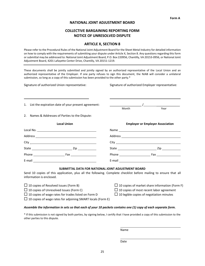#### **NATIONAL JOINT ADJUSTMENT BOARD**

#### **COLLECTIVE BARGAINING REPORTING FORM NOTICE OF UNRESOLVED DISPUTE**

#### **ARTICLE X, SECTION 8**

 Please refer to the Procedural Rules of the National Joint Adjustment Board for the Sheet Metal Industry for detailed information on how to comply with the requirements of submitting your dispute under Article X, Section 8. Any questions regarding this form or submittal may be addressed to: National Joint Adjustment Board, P.O. Box 220956, Chantilly, VA 20153-0956, or National Joint Adjustment Board, 4201 Lafayette Center Drive, Chantilly, VA 20151-1219.

 These documents shall be jointly submitted and jointly signed by an authorized representative of the Local Union and an authorized representative of the Employer. If one party refuses to sign this document, the NJAB will consider a unilateral submission, so long as a copy of this submission has been provided to the other party.\*

| Signature of authorized Union representative:          |       | Signature of authorized Employer representative:                   |
|--------------------------------------------------------|-------|--------------------------------------------------------------------|
|                                                        |       |                                                                    |
| 1. List the expiration date of your present agreement: | Month | $\frac{1}{\sqrt{1-\frac{1}{2}}\left(1-\frac{1}{2}\right)}$<br>Year |
| 2. Names & Addresses of Parties to the Dispute:        |       |                                                                    |
| <b>Local Union</b>                                     |       | <b>Employer or Employer Association</b>                            |
|                                                        |       |                                                                    |
|                                                        |       |                                                                    |
|                                                        |       |                                                                    |
|                                                        |       |                                                                    |
| Phone Fax Fax Fax Fax Fax Phone                        |       |                                                                    |
|                                                        |       |                                                                    |
| SUBMITTAL DATA FOR NATIONAL JOINT ADJUSTMENT BOARD     |       |                                                                    |

 Send 10 copies of this application, plus all the following. Complete checklist before mailing to ensure that all information is enclosed.

| $\Box$ 10 copies of Resolved Issues (Form B)                       | $\Box$ 10 copies of market share information (Form F) |
|--------------------------------------------------------------------|-------------------------------------------------------|
| $\Box$ 10 copies of Unresolved Issues (Form C)                     | $\Box$ 10 copies of most recent labor agreement       |
| $\Box$ 10 copies of wage rates for trades listed on Form D         | $\Box$ 10 legible copies of negotiation minutes       |
| $\Box$ 10 copies of wage rates for adjoining SMART locals (Form E) |                                                       |

#### *Assemble the information in sets so that each of your 10 packets contains one (1) copy of each separate form.*

 \* If this submission is not signed by both parties, by signing below, I certify that I have provided a copy of this submission to the other parties to this dispute.

Name

Date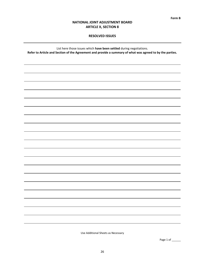#### **RESOLVED ISSUES**

List here those issues which **have been settled** during negotiations. **Refer to Article and Section of the Agreement and provide a summary of what was agreed to by the parties.** 

Use Additional Sheets as Necessary

Page 1 of \_\_\_\_\_\_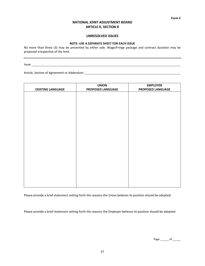#### **UNRESOLVED ISSUES**

#### **NOTE: USE A SEPARATE SHEET FOR EACH ISSUE**

 No more than three (3) may be presented by either side. Wage/Fringe package and contract duration may be proposed irrespective of the limit.

Issue <u>Executive Communities</u> and the communities of the communities of the communities of the communities of the communities of the communities of the communities of the communities of the communities of the communities o

Article, Section of Agreement or Addendum

| <b>EXISTING LANGUAGE</b> | <b>UNION</b><br>PROPOSED LANGUAGE | <b>EMPLOYER</b><br>PROPOSED LANGUAGE |
|--------------------------|-----------------------------------|--------------------------------------|
|                          |                                   |                                      |
|                          |                                   |                                      |
|                          |                                   |                                      |
|                          |                                   |                                      |
|                          |                                   |                                      |
|                          |                                   |                                      |
|                          |                                   |                                      |
|                          |                                   |                                      |
|                          |                                   |                                      |
|                          |                                   |                                      |
|                          |                                   |                                      |
|                          |                                   |                                      |
|                          |                                   |                                      |
|                          |                                   |                                      |

Please provide a brief statement setting forth the reasons the Union believes its position should be adopted:

Please provide a brief statement setting forth the reasons the Employer believes its position should be adopted:

Page of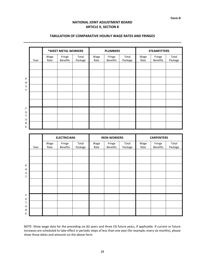#### **TABULATION OF COMPARATIVE HOURLY WAGE RATES AND FRINGES**

|        |      |              | *SHEET METAL WORKERS      |                  |              | <b>PLUMBERS</b>           |                  |              | <b>STEAMFITTERS</b>       |                  |  |  |
|--------|------|--------------|---------------------------|------------------|--------------|---------------------------|------------------|--------------|---------------------------|------------------|--|--|
|        | Year | Wage<br>Rate | Fringe<br><b>Benefits</b> | Total<br>Package | Wage<br>Rate | Fringe<br><b>Benefits</b> | Total<br>Package | Wage<br>Rate | Fringe<br><b>Benefits</b> | Total<br>Package |  |  |
|        |      |              |                           |                  |              |                           |                  |              |                           |                  |  |  |
|        |      |              |                           |                  |              |                           |                  |              |                           |                  |  |  |
| P<br>Α |      |              |                           |                  |              |                           |                  |              |                           |                  |  |  |
| S<br>T |      |              |                           |                  |              |                           |                  |              |                           |                  |  |  |
|        |      |              |                           |                  |              |                           |                  |              |                           |                  |  |  |
|        |      |              |                           |                  |              |                           |                  |              |                           |                  |  |  |
| F<br>U |      |              |                           |                  |              |                           |                  |              |                           |                  |  |  |
| T<br>U |      |              |                           |                  |              |                           |                  |              |                           |                  |  |  |
| R<br>E |      |              |                           |                  |              |                           |                  |              |                           |                  |  |  |

|        |      | <b>ELECTRICIANS</b> |                           |                  |              | <b>IRON WORKERS</b>       |                  | <b>CARPENTERS</b> |                           |                  |  |
|--------|------|---------------------|---------------------------|------------------|--------------|---------------------------|------------------|-------------------|---------------------------|------------------|--|
|        | Year | Wage<br>Rate        | Fringe<br><b>Benefits</b> | Total<br>Package | Wage<br>Rate | Fringe<br><b>Benefits</b> | Total<br>Package | Wage<br>Rate      | Fringe<br><b>Benefits</b> | Total<br>Package |  |
|        |      |                     |                           |                  |              |                           |                  |                   |                           |                  |  |
|        |      |                     |                           |                  |              |                           |                  |                   |                           |                  |  |
| P<br>Α |      |                     |                           |                  |              |                           |                  |                   |                           |                  |  |
| S<br>Τ |      |                     |                           |                  |              |                           |                  |                   |                           |                  |  |
|        |      |                     |                           |                  |              |                           |                  |                   |                           |                  |  |
|        |      |                     |                           |                  |              |                           |                  |                   |                           |                  |  |
| F<br>U |      |                     |                           |                  |              |                           |                  |                   |                           |                  |  |
| Τ<br>U |      |                     |                           |                  |              |                           |                  |                   |                           |                  |  |
| R<br>Ε |      |                     |                           |                  |              |                           |                  |                   |                           |                  |  |

 NOTE: Show wage data for the preceding six (6) years and three (3) future years, if applicable. If current or future increases are scheduled to take effect in periodic steps of less than one year (for example, every six months), please show those dates and amounts on the above form.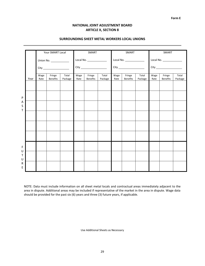**Form E** 

#### **NATIONAL JOINT ADJUSTMENT BOARD ARTICLE X, SECTION 8**

|             |      |              | Your SMART Local          |                  |              | SMART                     |                  |              | SMART                     |                  |              | SMART                     |                  |  |
|-------------|------|--------------|---------------------------|------------------|--------------|---------------------------|------------------|--------------|---------------------------|------------------|--------------|---------------------------|------------------|--|
|             |      | City         |                           |                  |              | Local No.                 |                  |              | Local No.                 |                  |              | Local No.                 |                  |  |
|             |      |              |                           |                  | City         |                           |                  |              |                           |                  |              |                           |                  |  |
|             | Year | Wage<br>Rate | Fringe<br><b>Benefits</b> | Total<br>Package | Wage<br>Rate | Fringe<br><b>Benefits</b> | Total<br>Package | Wage<br>Rate | Fringe<br><b>Benefits</b> | Total<br>Package | Wage<br>Rate | Fringe<br><b>Benefits</b> | Total<br>Package |  |
|             |      |              |                           |                  |              |                           |                  |              |                           |                  |              |                           |                  |  |
| P           |      |              |                           |                  |              |                           |                  |              |                           |                  |              |                           |                  |  |
| Α<br>S      |      |              |                           |                  |              |                           |                  |              |                           |                  |              |                           |                  |  |
| T           |      |              |                           |                  |              |                           |                  |              |                           |                  |              |                           |                  |  |
|             |      |              |                           |                  |              |                           |                  |              |                           |                  |              |                           |                  |  |
|             |      |              |                           |                  |              |                           |                  |              |                           |                  |              |                           |                  |  |
|             |      |              |                           |                  |              |                           |                  |              |                           |                  |              |                           |                  |  |
| F           |      |              |                           |                  |              |                           |                  |              |                           |                  |              |                           |                  |  |
| U<br>T<br>U |      |              |                           |                  |              |                           |                  |              |                           |                  |              |                           |                  |  |
| R<br>E      |      |              |                           |                  |              |                           |                  |              |                           |                  |              |                           |                  |  |
|             |      |              |                           |                  |              |                           |                  |              |                           |                  |              |                           |                  |  |

#### **SURROUNDING SHEET METAL WORKERS LOCAL UNIONS**

 NOTE: Data must include information on all sheet metal locals and contractual areas immediately adjacent to the area in dispute. Additional areas may be included if representative of the market in the area in dispute. Wage data should be provided for the past six (6) years and three (3) future years, if applicable.

Use Additional Sheets as Necessary